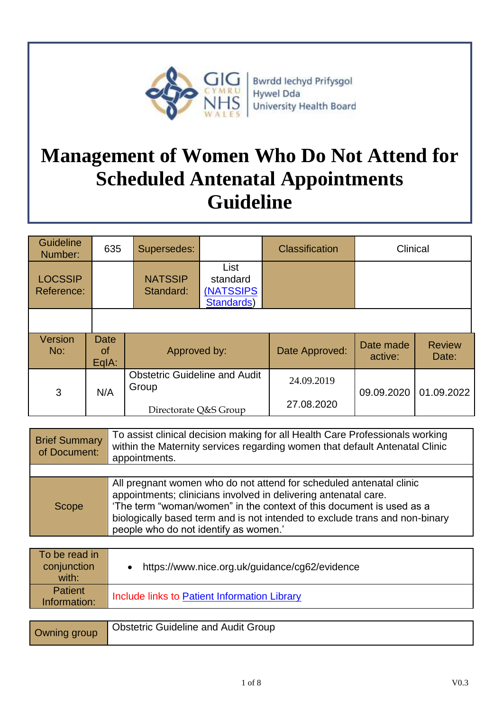

Bwrdd Iechyd Prifysgol **Hywel Dda University Health Board** 

# **Management of Women Who Do Not Attend for Scheduled Antenatal Appointments Guideline**

| <b>Guideline</b><br>Number:  | 635                        | Supersedes:                                   |                                             | <b>Classification</b> | Clinical             |                        |
|------------------------------|----------------------------|-----------------------------------------------|---------------------------------------------|-----------------------|----------------------|------------------------|
| <b>LOCSSIP</b><br>Reference: |                            | <b>NATSSIP</b><br>Standard:                   | List<br>standard<br>(NATSSIPS<br>Standards) |                       |                      |                        |
|                              |                            |                                               |                                             |                       |                      |                        |
| Version<br>No:               | <b>Date</b><br>0f<br>EqIA: | Approved by:                                  |                                             | Date Approved:        | Date made<br>active: | <b>Review</b><br>Date: |
| 3                            | N/A                        | <b>Obstetric Guideline and Audit</b><br>Group |                                             | 24.09.2019            | 09.09.2020           | 01.09.2022             |
|                              |                            | Directorate Q&S Group                         |                                             | 27.08.2020            |                      |                        |

| <b>Brief Summary</b><br>of Document: | To assist clinical decision making for all Health Care Professionals working<br>within the Maternity services regarding women that default Antenatal Clinic<br>appointments.                                                                                                                                                           |
|--------------------------------------|----------------------------------------------------------------------------------------------------------------------------------------------------------------------------------------------------------------------------------------------------------------------------------------------------------------------------------------|
|                                      |                                                                                                                                                                                                                                                                                                                                        |
| <b>Scope</b>                         | All pregnant women who do not attend for scheduled antenatal clinic<br>appointments; clinicians involved in delivering antenatal care.<br>'The term "woman/women" in the context of this document is used as a<br>biologically based term and is not intended to exclude trans and non-binary<br>people who do not identify as women.' |

| To be read in<br>conjunction<br>with: | https://www.nice.org.uk/guidance/cg62/evidence |
|---------------------------------------|------------------------------------------------|
| <b>Patient</b><br>Information:        | Include links to Patient Information Library   |

| Owning group | <b>Obstetric Guideline and Audit Group</b> |
|--------------|--------------------------------------------|
|--------------|--------------------------------------------|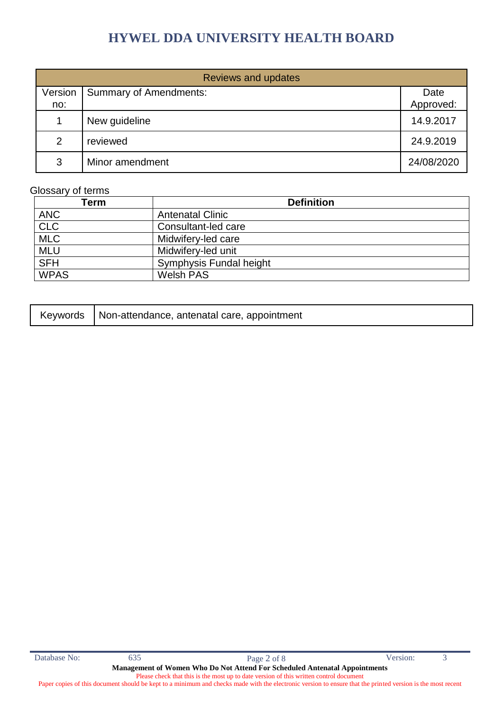| <b>Reviews and updates</b> |                               |                   |  |
|----------------------------|-------------------------------|-------------------|--|
| Version<br>no:             | <b>Summary of Amendments:</b> | Date<br>Approved: |  |
| 1                          | New guideline                 | 14.9.2017         |  |
| 2                          | reviewed                      | 24.9.2019         |  |
| 3                          | Minor amendment               | 24/08/2020        |  |

#### Glossary of terms

| Term        | <b>Definition</b>       |
|-------------|-------------------------|
| <b>ANC</b>  | <b>Antenatal Clinic</b> |
| CLC         | Consultant-led care     |
| <b>MLC</b>  | Midwifery-led care      |
| <b>MLU</b>  | Midwifery-led unit      |
| <b>SFH</b>  | Symphysis Fundal height |
| <b>WPAS</b> | Welsh PAS               |

|  | Keywords   Non-attendance, antenatal care, appointment |
|--|--------------------------------------------------------|
|--|--------------------------------------------------------|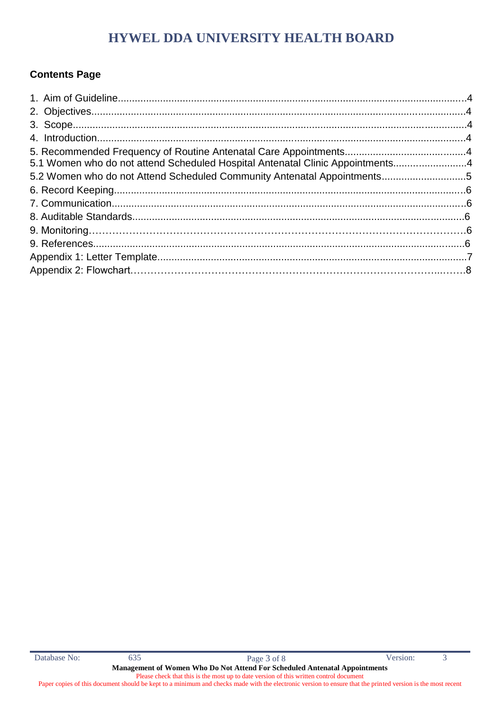#### **Contents Page**

| 5.1 Women who do not attend Scheduled Hospital Antenatal Clinic Appointments4 |  |
|-------------------------------------------------------------------------------|--|
| 5.2 Women who do not Attend Scheduled Community Antenatal Appointments5       |  |
|                                                                               |  |
|                                                                               |  |
|                                                                               |  |
|                                                                               |  |
|                                                                               |  |
|                                                                               |  |
|                                                                               |  |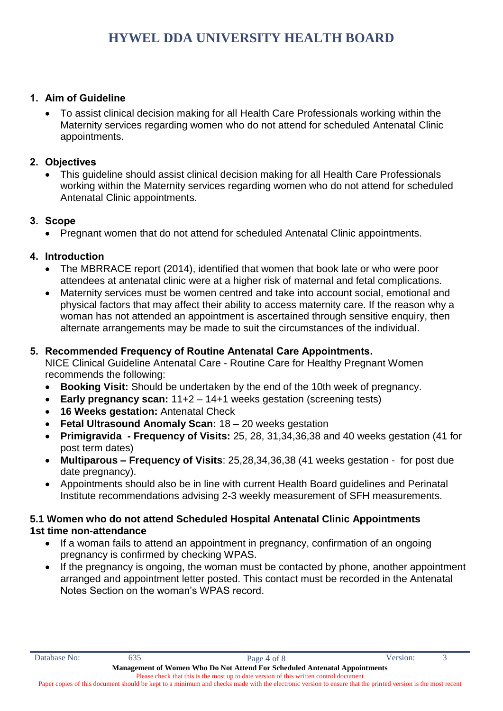#### **1. Aim of Guideline**

 To assist clinical decision making for all Health Care Professionals working within the Maternity services regarding women who do not attend for scheduled Antenatal Clinic appointments.

#### **2. Objectives**

 This guideline should assist clinical decision making for all Health Care Professionals working within the Maternity services regarding women who do not attend for scheduled Antenatal Clinic appointments.

#### **3. Scope**

Pregnant women that do not attend for scheduled Antenatal Clinic appointments.

#### **4. Introduction**

- The MBRRACE report (2014), identified that women that book late or who were poor attendees at antenatal clinic were at a higher risk of maternal and fetal complications.
- Maternity services must be women centred and take into account social, emotional and physical factors that may affect their ability to access maternity care. If the reason why a woman has not attended an appointment is ascertained through sensitive enquiry, then alternate arrangements may be made to suit the circumstances of the individual.

#### **5. Recommended Frequency of Routine Antenatal Care Appointments.**

NICE Clinical Guideline Antenatal Care - Routine Care for Healthy Pregnant Women recommends the following:

- **Booking Visit:** Should be undertaken by the end of the 10th week of pregnancy.
- **Early pregnancy scan:** 11+2 14+1 weeks gestation (screening tests)
- **16 Weeks gestation:** Antenatal Check
- **Fetal Ultrasound Anomaly Scan:** 18 20 weeks gestation
- **Primigravida - Frequency of Visits:** 25, 28, 31,34,36,38 and 40 weeks gestation (41 for post term dates)
- **Multiparous – Frequency of Visits**: 25,28,34,36,38 (41 weeks gestation for post due date pregnancy).
- Appointments should also be in line with current Health Board guidelines and Perinatal Institute recommendations advising 2-3 weekly measurement of SFH measurements.

#### **5.1 Women who do not attend Scheduled Hospital Antenatal Clinic Appointments 1st time non-attendance**

- If a woman fails to attend an appointment in pregnancy, confirmation of an ongoing pregnancy is confirmed by checking WPAS.
- If the pregnancy is ongoing, the woman must be contacted by phone, another appointment arranged and appointment letter posted. This contact must be recorded in the Antenatal Notes Section on the woman's WPAS record.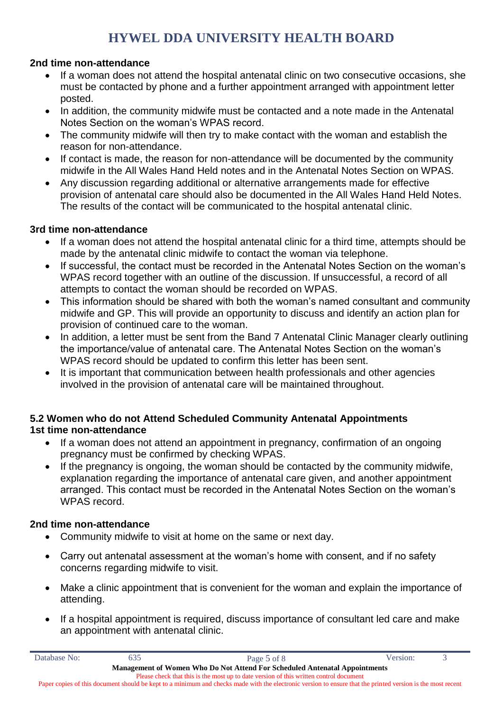#### **2nd time non-attendance**

- If a woman does not attend the hospital antenatal clinic on two consecutive occasions, she must be contacted by phone and a further appointment arranged with appointment letter posted.
- In addition, the community midwife must be contacted and a note made in the Antenatal Notes Section on the woman's WPAS record.
- The community midwife will then try to make contact with the woman and establish the reason for non-attendance.
- If contact is made, the reason for non-attendance will be documented by the community midwife in the All Wales Hand Held notes and in the Antenatal Notes Section on WPAS.
- Any discussion regarding additional or alternative arrangements made for effective provision of antenatal care should also be documented in the All Wales Hand Held Notes. The results of the contact will be communicated to the hospital antenatal clinic.

#### **3rd time non-attendance**

- If a woman does not attend the hospital antenatal clinic for a third time, attempts should be made by the antenatal clinic midwife to contact the woman via telephone.
- If successful, the contact must be recorded in the Antenatal Notes Section on the woman's WPAS record together with an outline of the discussion. If unsuccessful, a record of all attempts to contact the woman should be recorded on WPAS.
- This information should be shared with both the woman's named consultant and community midwife and GP. This will provide an opportunity to discuss and identify an action plan for provision of continued care to the woman.
- In addition, a letter must be sent from the Band 7 Antenatal Clinic Manager clearly outlining the importance/value of antenatal care. The Antenatal Notes Section on the woman's WPAS record should be updated to confirm this letter has been sent.
- It is important that communication between health professionals and other agencies involved in the provision of antenatal care will be maintained throughout.

#### **5.2 Women who do not Attend Scheduled Community Antenatal Appointments 1st time non-attendance**

- If a woman does not attend an appointment in pregnancy, confirmation of an ongoing pregnancy must be confirmed by checking WPAS.
- If the pregnancy is ongoing, the woman should be contacted by the community midwife, explanation regarding the importance of antenatal care given, and another appointment arranged. This contact must be recorded in the Antenatal Notes Section on the woman's WPAS record.

#### **2nd time non-attendance**

- Community midwife to visit at home on the same or next day.
- Carry out antenatal assessment at the woman's home with consent, and if no safety concerns regarding midwife to visit.
- Make a clinic appointment that is convenient for the woman and explain the importance of attending.
- If a hospital appointment is required, discuss importance of consultant led care and make an appointment with antenatal clinic.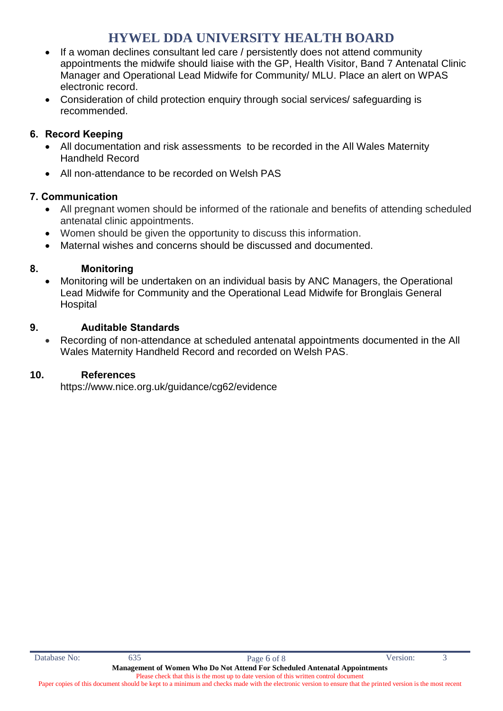- If a woman declines consultant led care / persistently does not attend community appointments the midwife should liaise with the GP, Health Visitor, Band 7 Antenatal Clinic Manager and Operational Lead Midwife for Community/ MLU. Place an alert on WPAS electronic record.
- Consideration of child protection enquiry through social services/ safeguarding is recommended.

#### **6. Record Keeping**

- All documentation and risk assessments to be recorded in the All Wales Maternity Handheld Record
- All non-attendance to be recorded on Welsh PAS

#### **7. Communication**

- All pregnant women should be informed of the rationale and benefits of attending scheduled antenatal clinic appointments.
- Women should be given the opportunity to discuss this information.
- Maternal wishes and concerns should be discussed and documented.

#### **8. Monitoring**

 Monitoring will be undertaken on an individual basis by ANC Managers, the Operational Lead Midwife for Community and the Operational Lead Midwife for Bronglais General **Hospital** 

#### **9. Auditable Standards**

 Recording of non-attendance at scheduled antenatal appointments documented in the All Wales Maternity Handheld Record and recorded on Welsh PAS.

#### **10. References**

https://www.nice.org.uk/guidance/cg62/evidence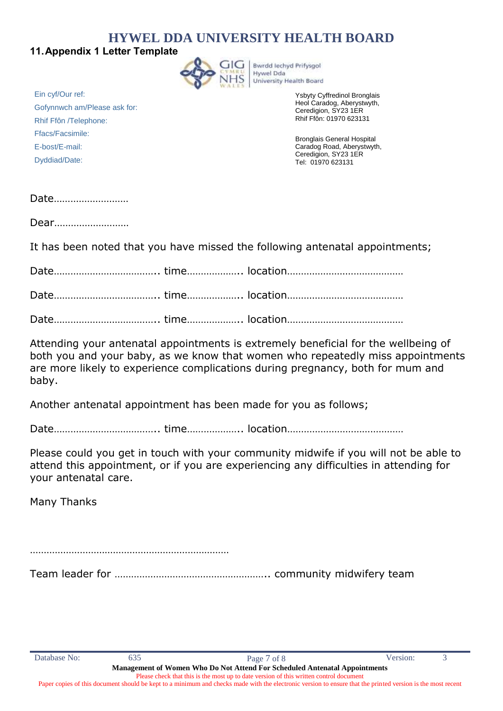#### **11.Appendix 1 Letter Template**



**Bwrdd lechyd Prifysgol** Hywel Dda University Health Board

> Ysbyty Cyffredinol Bronglais Heol Caradog, Aberystwyth, Ceredigion, SY23 1ER Rhif Ffôn: 01970 623131

Bronglais General Hospital Caradog Road, Aberystwyth, Ceredigion, SY23 1ER Tel: 01970 623131

Ein cyf/Our ref: Gofynnwch am/Please ask for: Rhif Ffôn /Telephone: Ffacs/Facsimile: E-bost/E-mail: Dyddiad/Date:

Date………………………

Dear………………………

It has been noted that you have missed the following antenatal appointments;

Date……………………………….. time……………….. location……………………………………

Date……………………………….. time……………….. location……………………………………

Date……………………………….. time……………….. location……………………………………

Attending your antenatal appointments is extremely beneficial for the wellbeing of both you and your baby, as we know that women who repeatedly miss appointments are more likely to experience complications during pregnancy, both for mum and baby.

Another antenatal appointment has been made for you as follows;

Date……………………………….. time……………….. location……………………………………

Please could you get in touch with your community midwife if you will not be able to attend this appointment, or if you are experiencing any difficulties in attending for your antenatal care.

Many Thanks

………………………………………………………………

Team leader for ……………………………………………….. community midwifery team

Paper copies of this document should be kept to a minimum and checks made with the electronic version to ensure that the printed version is the most recent